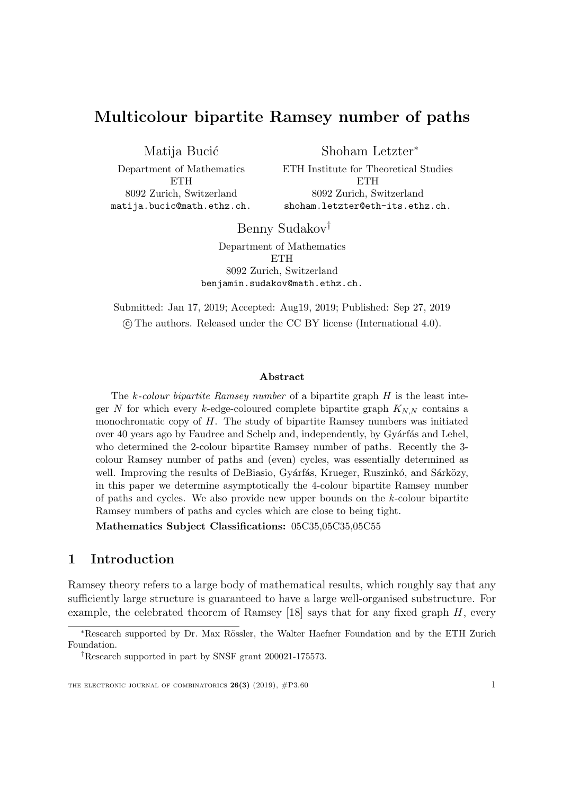# Multicolour bipartite Ramsey number of paths

Matija Bucić

Shoham Letzter<sup>∗</sup>

Department of Mathematics **ETH** 8092 Zurich, Switzerland matija.bucic@math.ethz.ch. ETH Institute for Theoretical Studies **ETH** 8092 Zurich, Switzerland shoham.letzter@eth-its.ethz.ch.

Benny Sudakov†

Department of Mathematics **ETH** 8092 Zurich, Switzerland benjamin.sudakov@math.ethz.ch.

Submitted: Jan 17, 2019; Accepted: Aug19, 2019; Published: Sep 27, 2019 c The authors. Released under the CC BY license (International 4.0).

#### Abstract

The  $k$ -colour bipartite Ramsey number of a bipartite graph  $H$  is the least integer N for which every k-edge-coloured complete bipartite graph  $K_{NN}$  contains a monochromatic copy of  $H$ . The study of bipartite Ramsey numbers was initiated over 40 years ago by Faudree and Schelp and, independently, by Gyárfás and Lehel, who determined the 2-colour bipartite Ramsey number of paths. Recently the 3 colour Ramsey number of paths and (even) cycles, was essentially determined as well. Improving the results of DeBiasio, Gyárfás, Krueger, Ruszinkó, and Sárközy, in this paper we determine asymptotically the 4-colour bipartite Ramsey number of paths and cycles. We also provide new upper bounds on the k-colour bipartite Ramsey numbers of paths and cycles which are close to being tight.

Mathematics Subject Classifications: 05C35,05C35,05C55

## 1 Introduction

Ramsey theory refers to a large body of mathematical results, which roughly say that any sufficiently large structure is guaranteed to have a large well-organised substructure. For example, the celebrated theorem of Ramsey  $[18]$  says that for any fixed graph  $H$ , every

<sup>∗</sup>Research supported by Dr. Max R¨ossler, the Walter Haefner Foundation and by the ETH Zurich Foundation.

<sup>†</sup>Research supported in part by SNSF grant 200021-175573.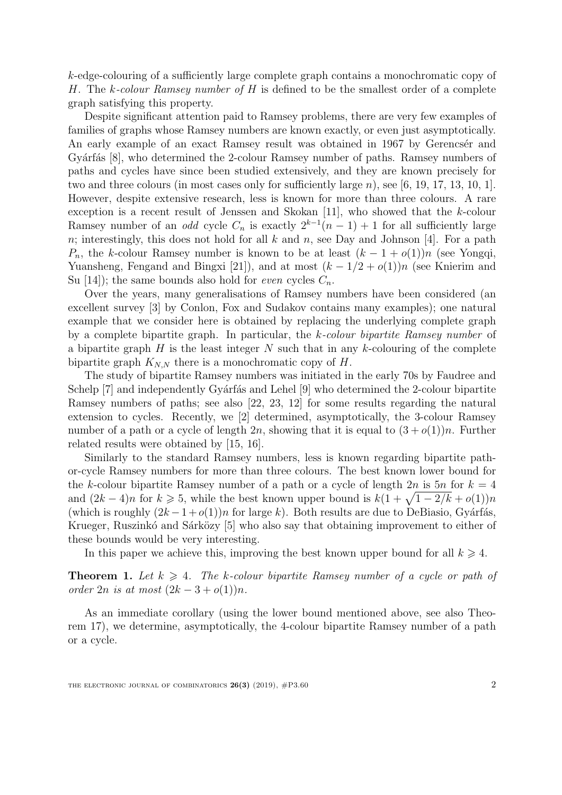k-edge-colouring of a sufficiently large complete graph contains a monochromatic copy of H. The k-colour Ramsey number of H is defined to be the smallest order of a complete graph satisfying this property.

Despite significant attention paid to Ramsey problems, there are very few examples of families of graphs whose Ramsey numbers are known exactly, or even just asymptotically. An early example of an exact Ramsey result was obtained in 1967 by Gerencser and Gyárfás [\[8\]](#page-14-1), who determined the 2-colour Ramsey number of paths. Ramsey numbers of paths and cycles have since been studied extensively, and they are known precisely for two and three colours (in most cases only for sufficiently large  $n$ ), see [\[6,](#page-14-2) [19,](#page-14-3) [17,](#page-14-4) [13,](#page-14-5) [10,](#page-14-6) [1\]](#page-13-0). However, despite extensive research, less is known for more than three colours. A rare exception is a recent result of Jenssen and Skokan [\[11\]](#page-14-7), who showed that the k-colour Ramsey number of an *odd* cycle  $C_n$  is exactly  $2^{k-1}(n-1) + 1$  for all sufficiently large n; interestingly, this does not hold for all  $k$  and  $n$ , see Day and Johnson [\[4\]](#page-13-1). For a path  $P_n$ , the k-colour Ramsey number is known to be at least  $(k-1+o(1))n$  (see Yongqi, Yuansheng, Fengand and Bingxi [\[21\]](#page-14-8)), and at most  $(k - 1/2 + o(1))n$  (see Knierim and Su [\[14\]](#page-14-9)); the same bounds also hold for *even* cycles  $C_n$ .

Over the years, many generalisations of Ramsey numbers have been considered (an excellent survey [\[3\]](#page-13-2) by Conlon, Fox and Sudakov contains many examples); one natural example that we consider here is obtained by replacing the underlying complete graph by a complete bipartite graph. In particular, the k-colour bipartite Ramsey number of a bipartite graph  $H$  is the least integer  $N$  such that in any k-colouring of the complete bipartite graph  $K_{N,N}$  there is a monochromatic copy of H.

The study of bipartite Ramsey numbers was initiated in the early 70s by Faudree and Schelp  $[7]$  and independently Gyárfás and Lehel  $[9]$  who determined the 2-colour bipartite Ramsey numbers of paths; see also [\[22,](#page-14-12) [23,](#page-14-13) [12\]](#page-14-14) for some results regarding the natural extension to cycles. Recently, we [\[2\]](#page-13-3) determined, asymptotically, the 3-colour Ramsey number of a path or a cycle of length 2n, showing that it is equal to  $(3+o(1))n$ . Further related results were obtained by [\[15,](#page-14-15) [16\]](#page-14-16).

Similarly to the standard Ramsey numbers, less is known regarding bipartite pathor-cycle Ramsey numbers for more than three colours. The best known lower bound for the k-colour bipartite Ramsey number of a path or a cycle of length  $2n$  is  $5n$  for  $k = 4$ and  $(2k-4)n$  for  $k \ge 5$ , while the best known upper bound is  $k(1+\sqrt{1-2/k}+o(1))n$ (which is roughly  $(2k - 1 + o(1))n$  for large k). Both results are due to DeBiasio, Gyárfás, Krueger, Ruszinkó and Sárközy [\[5\]](#page-14-17) who also say that obtaining improvement to either of these bounds would be very interesting.

In this paper we achieve this, improving the best known upper bound for all  $k \geq 4$ .

<span id="page-1-0"></span>**Theorem 1.** Let  $k \geq 4$ . The k-colour bipartite Ramsey number of a cycle or path of order  $2n$  is at most  $(2k - 3 + o(1))n$ .

<span id="page-1-1"></span>As an immediate corollary (using the lower bound mentioned above, see also Theorem [17\)](#page-11-0), we determine, asymptotically, the 4-colour bipartite Ramsey number of a path or a cycle.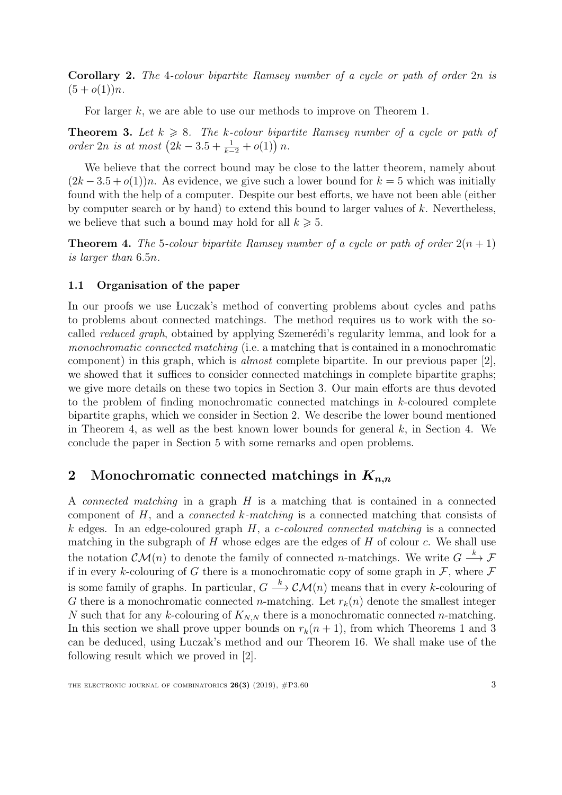Corollary 2. The 4-colour bipartite Ramsey number of a cycle or path of order 2n is  $(5+o(1))n$ .

For larger k, we are able to use our methods to improve on Theorem [1.](#page-1-0)

<span id="page-2-2"></span>**Theorem 3.** Let  $k \ge 8$ . The k-colour bipartite Ramsey number of a cycle or path of order 2n is at most  $(2k - 3.5 + \frac{1}{k-2} + o(1)) n$ .

We believe that the correct bound may be close to the latter theorem, namely about  $(2k-3.5+o(1))n$ . As evidence, we give such a lower bound for  $k=5$  which was initially found with the help of a computer. Despite our best efforts, we have not been able (either by computer search or by hand) to extend this bound to larger values of  $k$ . Nevertheless, we believe that such a bound may hold for all  $k \geq 5$ .

<span id="page-2-1"></span>**Theorem 4.** The 5-colour bipartite Ramsey number of a cycle or path of order  $2(n + 1)$ is larger than 6.5n.

#### 1.1 Organisation of the paper

In our proofs we use Luczak's method of converting problems about cycles and paths to problems about connected matchings. The method requires us to work with the socalled *reduced graph*, obtained by applying Szemerédi's regularity lemma, and look for a monochromatic connected matching (i.e. a matching that is contained in a monochromatic component) in this graph, which is *almost* complete bipartite. In our previous paper  $[2]$ , we showed that it suffices to consider connected matchings in complete bipartite graphs; we give more details on these two topics in Section [3.](#page-10-0) Our main efforts are thus devoted to the problem of finding monochromatic connected matchings in k-coloured complete bipartite graphs, which we consider in Section [2.](#page-2-0) We describe the lower bound mentioned in Theorem [4,](#page-2-1) as well as the best known lower bounds for general  $k$ , in Section [4.](#page-11-1) We conclude the paper in Section [5](#page-12-0) with some remarks and open problems.

## <span id="page-2-0"></span>2 Monochromatic connected matchings in  $K_{n,n}$

<span id="page-2-3"></span>A connected matching in a graph H is a matching that is contained in a connected component of H, and a connected k-matching is a connected matching that consists of k edges. In an edge-coloured graph  $H$ , a c-coloured connected matching is a connected matching in the subgraph of  $H$  whose edges are the edges of  $H$  of colour  $c$ . We shall use the notation  $\mathcal{CM}(n)$  to denote the family of connected *n*-matchings. We write  $G \stackrel{k}{\longrightarrow} \mathcal{F}$ if in every k-colouring of G there is a monochromatic copy of some graph in  $\mathcal F$ , where  $\mathcal F$ is some family of graphs. In particular,  $G \stackrel{k}{\longrightarrow} \mathcal{CM}(n)$  means that in every k-colouring of G there is a monochromatic connected *n*-matching. Let  $r_k(n)$  denote the smallest integer N such that for any k-colouring of  $K_{N,N}$  there is a monochromatic connected n-matching. In this section we shall prove upper bounds on  $r_k(n + 1)$  $r_k(n + 1)$  $r_k(n + 1)$ , from which Theorems 1 and [3](#page-2-2) can be deduced, using Luczak's method and our Theorem [16.](#page-10-1) We shall make use of the following result which we proved in [\[2\]](#page-13-3).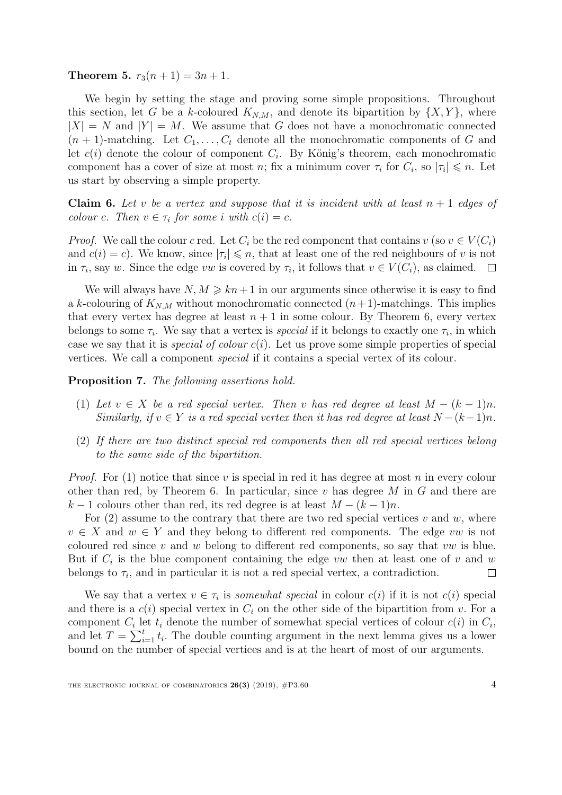**Theorem 5.**  $r_3(n+1) = 3n+1$ .

We begin by setting the stage and proving some simple propositions. Throughout this section, let G be a k-coloured  $K_{N,M}$ , and denote its bipartition by  $\{X,Y\}$ , where  $|X| = N$  and  $|Y| = M$ . We assume that G does not have a monochromatic connected  $(n + 1)$ -matching. Let  $C_1, \ldots, C_t$  denote all the monochromatic components of G and let  $c(i)$  denote the colour of component  $C_i$ . By König's theorem, each monochromatic component has a cover of size at most n; fix a minimum cover  $\tau_i$  for  $C_i$ , so  $|\tau_i| \leq n$ . Let us start by observing a simple property.

<span id="page-3-0"></span>**Claim 6.** Let v be a vertex and suppose that it is incident with at least  $n + 1$  edges of colour c. Then  $v \in \tau_i$  for some i with  $c(i) = c$ .

*Proof.* We call the colour c red. Let  $C_i$  be the red component that contains  $v$  (so  $v \in V(C_i)$ ) and  $c(i) = c$ ). We know, since  $|\tau_i| \leq n$ , that at least one of the red neighbours of v is not in  $\tau_i$ , say w. Since the edge vw is covered by  $\tau_i$ , it follows that  $v \in V(C_i)$ , as claimed.

We will always have  $N, M \geq kn+1$  in our arguments since otherwise it is easy to find a k-colouring of  $K_{N,M}$  without monochromatic connected  $(n+1)$ -matchings. This implies that every vertex has degree at least  $n + 1$  in some colour. By Theorem [6,](#page-3-0) every vertex belongs to some  $\tau_i$ . We say that a vertex is *special* if it belongs to exactly one  $\tau_i$ , in which case we say that it is *special of colour c(i)*. Let us prove some simple properties of special vertices. We call a component special if it contains a special vertex of its colour.

<span id="page-3-3"></span>Proposition 7. The following assertions hold.

- <span id="page-3-1"></span>(1) Let  $v \in X$  be a red special vertex. Then v has red degree at least  $M - (k-1)n$ . Similarly, if  $v \in Y$  is a red special vertex then it has red degree at least  $N - (k-1)n$ .
- <span id="page-3-2"></span>(2) If there are two distinct special red components then all red special vertices belong to the same side of the bipartition.

*Proof.* For [\(1\)](#page-3-1) notice that since v is special in red it has degree at most n in every colour other than red, by Theorem [6.](#page-3-0) In particular, since  $v$  has degree M in  $G$  and there are  $k-1$  colours other than red, its red degree is at least  $M - (k-1)n$ .

For  $(2)$  assume to the contrary that there are two red special vertices v and w, where  $v \in X$  and  $w \in Y$  and they belong to different red components. The edge vw is not coloured red since v and w belong to different red components, so say that vw is blue. But if  $C_i$  is the blue component containing the edge vw then at least one of v and w belongs to  $\tau_i$ , and in particular it is not a red special vertex, a contradiction.  $\Box$ 

We say that a vertex  $v \in \tau_i$  is somewhat special in colour  $c(i)$  if it is not  $c(i)$  special and there is a  $c(i)$  special vertex in  $C_i$  on the other side of the bipartition from v. For a component  $C_i$  let  $t_i$  denote the number of somewhat special vertices of colour  $c(i)$  in  $C_i$ , and let  $T = \sum_{i=1}^{t} t_i$ . The double counting argument in the next lemma gives us a lower bound on the number of special vertices and is at the heart of most of our arguments.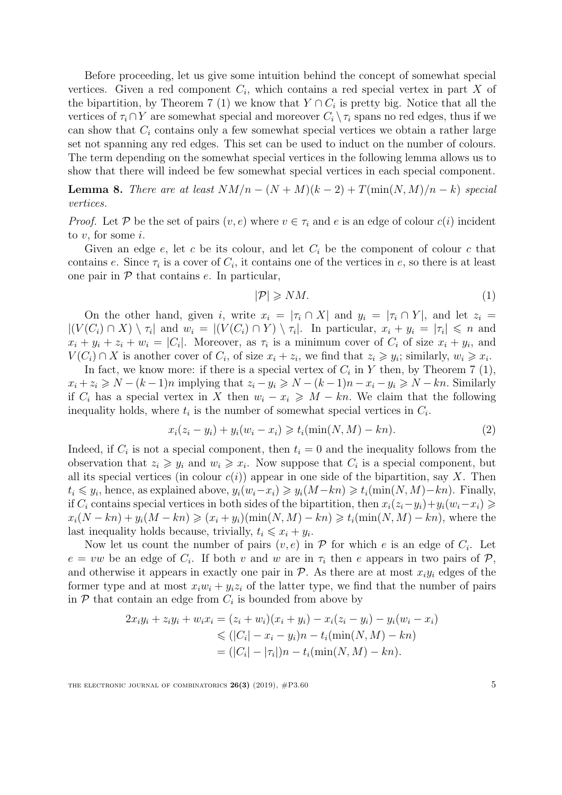Before proceeding, let us give some intuition behind the concept of somewhat special vertices. Given a red component  $C_i$ , which contains a red special vertex in part X of the bipartition, by Theorem [7](#page-3-3) [\(1\)](#page-3-1) we know that  $Y \cap C_i$  is pretty big. Notice that all the vertices of  $\tau_i \cap Y$  are somewhat special and moreover  $C_i \setminus \tau_i$  spans no red edges, thus if we can show that  $C_i$  contains only a few somewhat special vertices we obtain a rather large set not spanning any red edges. This set can be used to induct on the number of colours. The term depending on the somewhat special vertices in the following lemma allows us to show that there will indeed be few somewhat special vertices in each special component.

<span id="page-4-2"></span>**Lemma 8.** There are at least  $NM/n - (N + M)(k - 2) + T(\min(N, M)/n - k)$  special vertices.

*Proof.* Let P be the set of pairs  $(v, e)$  where  $v \in \tau_i$  and e is an edge of colour  $c(i)$  incident to  $v$ , for some  $i$ .

Given an edge  $e$ , let  $c$  be its colour, and let  $C_i$  be the component of colour  $c$  that contains e. Since  $\tau_i$  is a cover of  $C_i$ , it contains one of the vertices in e, so there is at least one pair in  $P$  that contains  $e$ . In particular,

<span id="page-4-1"></span><span id="page-4-0"></span>
$$
|\mathcal{P}| \geqslant NM. \tag{1}
$$

On the other hand, given i, write  $x_i = |\tau_i \cap X|$  and  $y_i = |\tau_i \cap Y|$ , and let  $z_i =$  $|(V(C_i) \cap X) \setminus \tau_i|$  and  $w_i = |(V(C_i) \cap Y) \setminus \tau_i|$ . In particular,  $x_i + y_i = |\tau_i| \leq n$  and  $x_i + y_i + z_i + w_i = |C_i|$ . Moreover, as  $\tau_i$  is a minimum cover of  $C_i$  of size  $x_i + y_i$ , and  $V(C_i) \cap X$  is another cover of  $C_i$ , of size  $x_i + z_i$ , we find that  $z_i \geq y_i$ ; similarly,  $w_i \geq x_i$ .

In fact, we know more: if there is a special vertex of  $C_i$  in Y then, by Theorem [7](#page-3-3) [\(1\),](#page-3-1)  $x_i + z_i \ge N - (k-1)n$  implying that  $z_i - y_i \ge N - (k-1)n - x_i - y_i \ge N - kn$ . Similarly if  $C_i$  has a special vertex in X then  $w_i - x_i \geq M - kn$ . We claim that the following inequality holds, where  $t_i$  is the number of somewhat special vertices in  $C_i$ .

$$
x_i(z_i - y_i) + y_i(w_i - x_i) \geq t_i(\min(N, M) - kn).
$$
 (2)

Indeed, if  $C_i$  is not a special component, then  $t_i = 0$  and the inequality follows from the observation that  $z_i \geq y_i$  and  $w_i \geq x_i$ . Now suppose that  $C_i$  is a special component, but all its special vertices (in colour  $c(i)$ ) appear in one side of the bipartition, say X. Then  $t_i \leq y_i$ , hence, as explained above,  $y_i(w_i-x_i) \geq y_i(M-kn) \geq t_i(\min(N, M)-kn)$ . Finally, if  $C_i$  contains special vertices in both sides of the bipartition, then  $x_i(z_i-y_i)+y_i(w_i-x_i) \geq$  $x_i(N - kn) + y_i(M - kn) \geqslant (x_i + y_i)(\min(N, M) - kn) \geqslant t_i(\min(N, M) - kn)$ , where the last inequality holds because, trivially,  $t_i \leq x_i + y_i$ .

Now let us count the number of pairs  $(v, e)$  in  $P$  for which e is an edge of  $C_i$ . Let  $e = vw$  be an edge of  $C_i$ . If both v and w are in  $\tau_i$  then e appears in two pairs of  $\mathcal{P}$ , and otherwise it appears in exactly one pair in  $\mathcal{P}$ . As there are at most  $x_i y_i$  edges of the former type and at most  $x_iw_i + y_iz_i$  of the latter type, we find that the number of pairs in  $P$  that contain an edge from  $C_i$  is bounded from above by

$$
2x_i y_i + z_i y_i + w_i x_i = (z_i + w_i)(x_i + y_i) - x_i(z_i - y_i) - y_i(w_i - x_i)
$$
  
\n
$$
\leq (|C_i| - x_i - y_i)n - t_i(\min(N, M) - kn)
$$
  
\n
$$
= (|C_i| - |\tau_i|)n - t_i(\min(N, M) - kn).
$$

THE ELECTRONIC JOURNAL OF COMBINATORICS  $26(3)$  (2019),  $\#P3.60$  5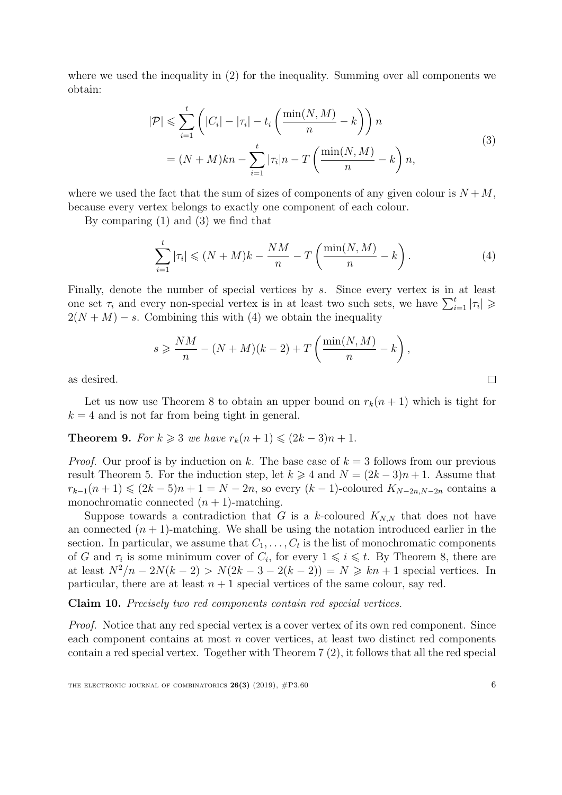where we used the inequality in [\(2\)](#page-4-0) for the inequality. Summing over all components we obtain:

$$
|\mathcal{P}| \leqslant \sum_{i=1}^{t} \left( |C_i| - |\tau_i| - t_i \left( \frac{\min(N, M)}{n} - k \right) \right) n
$$
  
= 
$$
(N + M)kn - \sum_{i=1}^{t} |\tau_i| n - T \left( \frac{\min(N, M)}{n} - k \right) n,
$$
 (3)

where we used the fact that the sum of sizes of components of any given colour is  $N + M$ , because every vertex belongs to exactly one component of each colour.

By comparing [\(1\)](#page-4-1) and [\(3\)](#page-5-0) we find that

<span id="page-5-1"></span>
$$
\sum_{i=1}^{t} |\tau_i| \leqslant (N+M)k - \frac{NM}{n} - T\left(\frac{\min(N,M)}{n} - k\right). \tag{4}
$$

Finally, denote the number of special vertices by s. Since every vertex is in at least one set  $\tau_i$  and every non-special vertex is in at least two such sets, we have  $\sum_{i=1}^{t} |\tau_i| \geq$  $2(N + M) - s$ . Combining this with [\(4\)](#page-5-1) we obtain the inequality

$$
s \geqslant \frac{NM}{n} - (N+M)(k-2) + T\left(\frac{\min(N,M)}{n} - k\right),
$$

as desired.

Let us now use Theorem [8](#page-4-2) to obtain an upper bound on  $r_k(n + 1)$  which is tight for  $k = 4$  and is not far from being tight in general.

<span id="page-5-2"></span>**Theorem 9.** For  $k \geq 3$  we have  $r_k(n+1) \leq (2k-3)n + 1$ .

*Proof.* Our proof is by induction on k. The base case of  $k = 3$  follows from our previous result Theorem [5.](#page-2-3) For the induction step, let  $k \geq 4$  and  $N = (2k-3)n + 1$ . Assume that  $r_{k-1}(n+1) \leq (2k-5)n + 1 = N - 2n$ , so every  $(k-1)$ -coloured  $K_{N-2n,N-2n}$  contains a monochromatic connected  $(n + 1)$ -matching.

Suppose towards a contradiction that G is a k-coloured  $K_{N,N}$  that does not have an connected  $(n + 1)$ -matching. We shall be using the notation introduced earlier in the section. In particular, we assume that  $C_1, \ldots, C_t$  is the list of monochromatic components of G and  $\tau_i$  is some minimum cover of  $C_i$ , for every  $1 \leq i \leq t$ . By Theorem [8,](#page-4-2) there are at least  $N^2/n - 2N(k-2) > N(2k-3-2(k-2)) = N \geq kn+1$  special vertices. In particular, there are at least  $n + 1$  special vertices of the same colour, say red.

Claim 10. Precisely two red components contain red special vertices.

Proof. Notice that any red special vertex is a cover vertex of its own red component. Since each component contains at most n cover vertices, at least two distinct red components contain a red special vertex. Together with Theorem [7](#page-3-3) [\(2\),](#page-3-2) it follows that all the red special

<span id="page-5-0"></span> $\Box$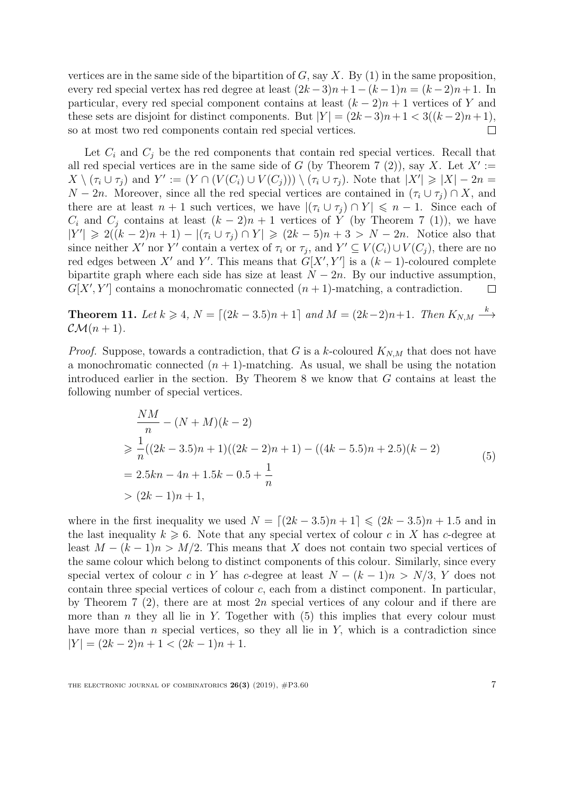vertices are in the same side of the bipartition of  $G$ , say  $X$ . By [\(1\)](#page-3-1) in the same proposition, every red special vertex has red degree at least  $(2k-3)n+1-(k-1)n = (k-2)n+1$ . In particular, every red special component contains at least  $(k-2)n+1$  vertices of Y and these sets are disjoint for distinct components. But  $|Y| = (2k-3)n+1 < 3((k-2)n+1)$ , so at most two red components contain red special vertices.  $\Box$ 

Let  $C_i$  and  $C_j$  be the red components that contain red special vertices. Recall that all red special vertices are in the same side of G (by Theorem [7](#page-3-3) [\(2\)\)](#page-3-2), say X. Let  $X' :=$  $X \setminus (\tau_i \cup \tau_j)$  and  $Y' := (Y \cap (V(C_i) \cup V(C_j))) \setminus (\tau_i \cup \tau_j)$ . Note that  $|X'| \geq |X| - 2n =$  $N-2n$ . Moreover, since all the red special vertices are contained in  $(\tau_i \cup \tau_j) \cap X$ , and there are at least  $n + 1$  such vertices, we have  $|(\tau_i \cup \tau_j) \cap Y| \leq n - 1$ . Since each of  $C_i$  and  $C_j$  contains at least  $(k-2)n+1$  vertices of Y (by Theorem [7](#page-3-3) [\(1\)\)](#page-3-1), we have  $|Y'| \geq 2((k-2)n + 1) - |(\tau_i \cup \tau_j) \cap Y| \geq (2k-5)n + 3 > N - 2n$ . Notice also that since neither X' nor Y' contain a vertex of  $\tau_i$  or  $\tau_j$ , and  $Y' \subseteq V(C_i) \cup V(C_j)$ , there are no red edges between X' and Y'. This means that  $G[X', Y']$  is a  $(k-1)$ -coloured complete bipartite graph where each side has size at least  $N - 2n$ . By our inductive assumption,  $G[X', Y']$  contains a monochromatic connected  $(n + 1)$ -matching, a contradiction.  $\Box$ 

<span id="page-6-1"></span>**Theorem 11.** Let  $k \ge 4$ ,  $N = \lfloor (2k - 3.5)n + 1 \rfloor$  and  $M = (2k - 2)n + 1$ . Then  $K_{N,M} \stackrel{k}{\longrightarrow}$  $\mathcal{CM}(n+1)$ .

*Proof.* Suppose, towards a contradiction, that G is a k-coloured  $K_{N,M}$  that does not have a monochromatic connected  $(n + 1)$ -matching. As usual, we shall be using the notation introduced earlier in the section. By Theorem [8](#page-4-2) we know that G contains at least the following number of special vertices.

<span id="page-6-0"></span>
$$
\frac{NM}{n} - (N + M)(k - 2)
$$
\n
$$
\geq \frac{1}{n}((2k - 3.5)n + 1)((2k - 2)n + 1) - ((4k - 5.5)n + 2.5)(k - 2)
$$
\n
$$
= 2.5kn - 4n + 1.5k - 0.5 + \frac{1}{n}
$$
\n
$$
> (2k - 1)n + 1,
$$
\n(5)

where in the first inequality we used  $N = (2k - 3.5)n + 1 \leq (2k - 3.5)n + 1.5$  and in the last inequality  $k \geq 6$ . Note that any special vertex of colour c in X has c-degree at least  $M - (k-1)n > M/2$ . This means that X does not contain two special vertices of the same colour which belong to distinct components of this colour. Similarly, since every special vertex of colour c in Y has c-degree at least  $N - (k - 1)n > N/3$ , Y does not contain three special vertices of colour  $c$ , each from a distinct component. In particular, by Theorem [7](#page-3-3) [\(2\),](#page-3-2) there are at most  $2n$  special vertices of any colour and if there are more than n they all lie in Y. Together with  $(5)$  this implies that every colour must have more than  $n$  special vertices, so they all lie in  $Y$ , which is a contradiction since  $|Y| = (2k-2)n + 1 < (2k-1)n + 1.$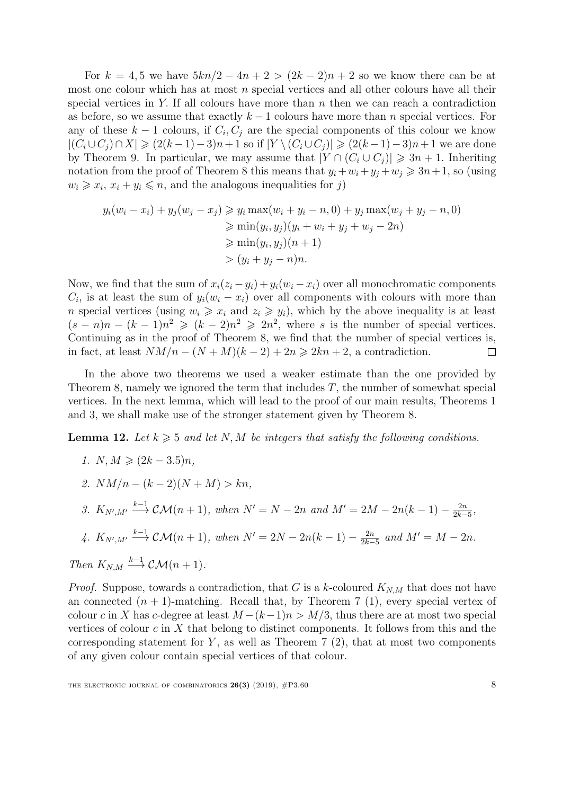For  $k = 4, 5$  we have  $5kn/2 - 4n + 2 > (2k - 2)n + 2$  so we know there can be at most one colour which has at most  $n$  special vertices and all other colours have all their special vertices in Y. If all colours have more than  $n$  then we can reach a contradiction as before, so we assume that exactly  $k-1$  colours have more than n special vertices. For any of these  $k-1$  colours, if  $C_i, C_j$  are the special components of this colour we know  $| (C_i \cup C_j) \cap X| \geq (2(k-1)-3)n+1$  so if  $|Y \setminus (C_i \cup C_j)| \geq (2(k-1)-3)n+1$  we are done by Theorem [9.](#page-5-2) In particular, we may assume that  $|Y \cap (C_i \cup C_j)| \geq 3n + 1$ . Inheriting notation from the proof of Theorem [8](#page-4-2) this means that  $y_i + w_i + y_j + w_j \geq 3n+1$ , so (using  $w_i \geq x_i, x_i + y_i \leq n$ , and the analogous inequalities for j)

$$
y_i(w_i - x_i) + y_j(w_j - x_j) \ge y_i \max(w_i + y_i - n, 0) + y_j \max(w_j + y_j - n, 0)
$$
  
\n
$$
\ge \min(y_i, y_j)(y_i + w_i + y_j + w_j - 2n)
$$
  
\n
$$
\ge \min(y_i, y_j)(n + 1)
$$
  
\n
$$
> (y_i + y_j - n)n.
$$

Now, we find that the sum of  $x_i(z_i - y_i) + y_i(w_i - x_i)$  over all monochromatic components  $C_i$ , is at least the sum of  $y_i(w_i - x_i)$  over all components with colours with more than n special vertices (using  $w_i \geq x_i$  and  $z_i \geq y_i$ ), which by the above inequality is at least  $(s - n)n - (k - 1)n^2 \geq (k - 2)n^2 \geq 2n^2$ , where s is the number of special vertices. Continuing as in the proof of Theorem [8,](#page-4-2) we find that the number of special vertices is, in fact, at least  $NM/n - (N + M)(k - 2) + 2n \geq 2kn + 2$ , a contradiction.  $\Box$ 

In the above two theorems we used a weaker estimate than the one provided by Theorem [8,](#page-4-2) namely we ignored the term that includes  $T$ , the number of somewhat special vertices. In the next lemma, which will lead to the proof of our main results, Theorems [1](#page-1-0) and [3,](#page-2-2) we shall make use of the stronger statement given by Theorem [8.](#page-4-2)

<span id="page-7-4"></span><span id="page-7-0"></span>**Lemma 12.** Let  $k \geq 5$  and let N, M be integers that satisfy the following conditions.

- 1.  $N, M \geqslant (2k 3.5)n$ ,
- <span id="page-7-1"></span>2.  $NM/n - (k-2)(N + M) > kn,$
- <span id="page-7-2"></span>3.  $K_{N',M'} \stackrel{k-1}{\longrightarrow} \mathcal{CM}(n+1)$ , when  $N' = N - 2n$  and  $M' = 2M - 2n(k-1) - \frac{2n}{2k-1}$  $\frac{2n}{2k-5},$

<span id="page-7-3"></span>4. 
$$
K_{N',M'} \stackrel{k-1}{\longrightarrow} \mathcal{CM}(n+1)
$$
, when  $N' = 2N - 2n(k-1) - \frac{2n}{2k-5}$  and  $M' = M - 2n$ .

Then  $K_{N,M} \stackrel{k-1}{\longrightarrow} \mathcal{CM}(n+1)$ .

*Proof.* Suppose, towards a contradiction, that G is a k-coloured  $K_{N,M}$  that does not have an connected  $(n + 1)$ -matching. Recall that, by Theorem [7](#page-3-3) [\(1\),](#page-3-1) every special vertex of colour c in X has c-degree at least  $M - (k-1)n > M/3$ , thus there are at most two special vertices of colour  $c$  in  $X$  that belong to distinct components. It follows from this and the corresponding statement for  $Y$ , as well as Theorem [7](#page-3-3) [\(2\),](#page-3-2) that at most two components of any given colour contain special vertices of that colour.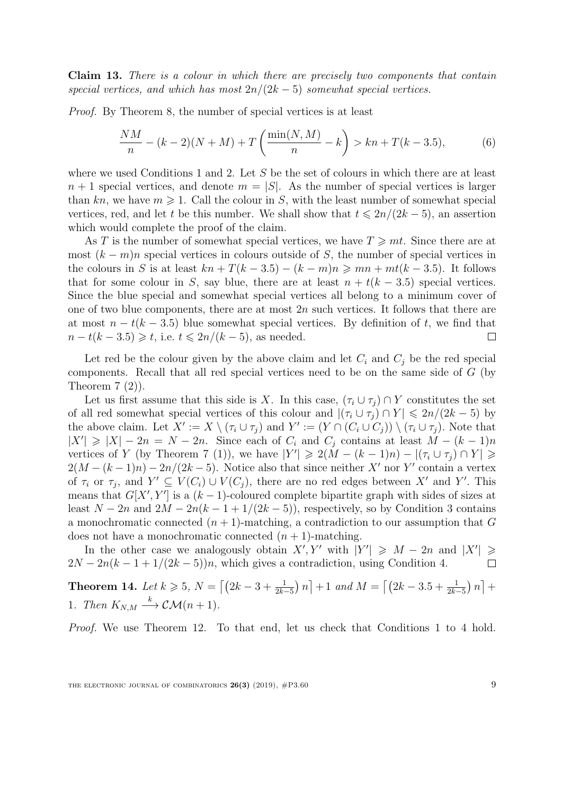Claim 13. There is a colour in which there are precisely two components that contain special vertices, and which has most  $2n/(2k-5)$  somewhat special vertices.

Proof. By Theorem [8,](#page-4-2) the number of special vertices is at least

$$
\frac{NM}{n} - (k-2)(N+M) + T\left(\frac{\min(N,M)}{n} - k\right) > kn + T(k-3.5),\tag{6}
$$

where we used Conditions [1](#page-7-0) and [2.](#page-7-1) Let  $S$  be the set of colours in which there are at least  $n + 1$  special vertices, and denote  $m = |S|$ . As the number of special vertices is larger than kn, we have  $m \geq 1$ . Call the colour in S, with the least number of somewhat special vertices, red, and let t be this number. We shall show that  $t \leq 2n/(2k-5)$ , an assertion which would complete the proof of the claim.

As T is the number of somewhat special vertices, we have  $T \geq m t$ . Since there are at most  $(k - m)n$  special vertices in colours outside of S, the number of special vertices in the colours in S is at least  $kn + T(k - 3.5) - (k - m)n \geq m n + mt(k - 3.5)$ . It follows that for some colour in S, say blue, there are at least  $n + t(k - 3.5)$  special vertices. Since the blue special and somewhat special vertices all belong to a minimum cover of one of two blue components, there are at most  $2n$  such vertices. It follows that there are at most  $n - t(k - 3.5)$  blue somewhat special vertices. By definition of t, we find that  $n - t(k - 3.5) \geq t$ , i.e.  $t \leq 2n/(k - 5)$ , as needed.  $\Box$ 

Let red be the colour given by the above claim and let  $C_i$  and  $C_j$  be the red special components. Recall that all red special vertices need to be on the same side of G (by Theorem  $7(2)$  $7(2)$ ).

Let us first assume that this side is X. In this case,  $(\tau_i \cup \tau_j) \cap Y$  constitutes the set of all red somewhat special vertices of this colour and  $|(\tau_i \cup \tau_j) \cap Y| \leq 2n/(2k-5)$  by the above claim. Let  $X' := X \setminus (\tau_i \cup \tau_j)$  and  $Y' := (Y \cap (C_i \cup C_j)) \setminus (\tau_i \cup \tau_j)$ . Note that  $|X'| \geq |X| - 2n = N - 2n$ . Since each of  $C_i$  and  $C_j$  contains at least  $M - (k-1)n$ vertices of Y (by Theorem [7](#page-3-3) [\(1\)\)](#page-3-1), we have  $|Y'| \geq 2(M - (k-1)n) - |(\tau_i \cup \tau_j) \cap Y| \geq$  $2(M - (k-1)n) - 2n/(2k-5)$ . Notice also that since neither X' nor Y' contain a vertex of  $\tau_i$  or  $\tau_j$ , and  $Y' \subseteq V(C_i) \cup V(C_j)$ , there are no red edges between X' and Y'. This means that  $G[X', Y']$  is a  $(k-1)$ -coloured complete bipartite graph with sides of sizes at least  $N-2n$  and  $2M-2n(k-1+1/(2k-5))$ , respectively, so by Condition [3](#page-7-2) contains a monochromatic connected  $(n + 1)$ -matching, a contradiction to our assumption that G does not have a monochromatic connected  $(n + 1)$ -matching.

In the other case we analogously obtain  $X'$ , Y' with  $|Y'| \geq M - 2n$  and  $|X'|$  $\geqslant$  $2N - 2n(k - 1 + 1/(2k - 5))n$ , which gives a contradiction, using Condition [4.](#page-7-3) П

<span id="page-8-0"></span>Theorem 14. Let  $k \ge 5$ ,  $N = \left[ (2k - 3 + \frac{1}{2k-5}) n \right] + 1$  and  $M = \left[ (2k - 3.5 + \frac{1}{2k-5}) n \right] +$ 1. Then  $K_{N,M} \stackrel{k}{\longrightarrow} \mathcal{CM}(n+1)$ .

Proof. We use Theorem [12.](#page-7-4) To that end, let us check that Conditions [1](#page-7-0) to [4](#page-7-3) hold.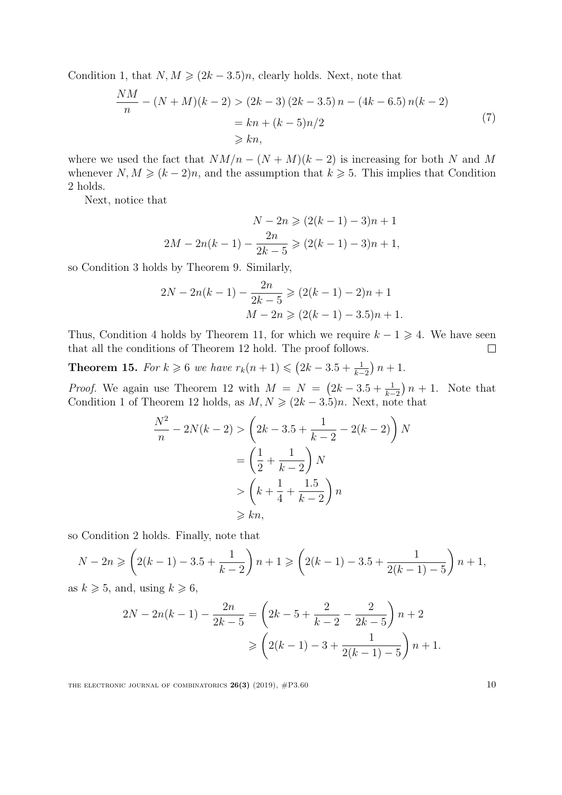Condition [1,](#page-7-0) that  $N, M \geq (2k - 3.5)n$ , clearly holds. Next, note that

$$
\frac{NM}{n} - (N+M)(k-2) > (2k-3)(2k-3.5) \, n - (4k-6.5) \, n(k-2) \\
\qquad \qquad = kn + (k-5)n/2 \\
\qquad \qquad \geq kn,\n \tag{7}
$$

where we used the fact that  $NM/n - (N + M)(k - 2)$  is increasing for both N and M whenever  $N, M \geq (k-2)n$ , and the assumption that  $k \geq 5$ . This implies that Condition [2](#page-7-1) holds.

Next, notice that

$$
N - 2n \ge (2(k - 1) - 3)n + 1
$$
  
2M - 2n(k - 1) -  $\frac{2n}{2k - 5}$   $\ge (2(k - 1) - 3)n + 1$ ,

so Condition [3](#page-7-2) holds by Theorem [9.](#page-5-2) Similarly,

$$
2N - 2n(k - 1) - \frac{2n}{2k - 5} \ge (2(k - 1) - 2)n + 1
$$

$$
M - 2n \ge (2(k - 1) - 3.5)n + 1.
$$

Thus, Condition [4](#page-7-3) holds by Theorem [11,](#page-6-1) for which we require  $k - 1 \geq 4$ . We have seen that all the conditions of Theorem [12](#page-7-4) hold. The proof follows.  $\Box$ 

<span id="page-9-0"></span>**Theorem 15.** For  $k \ge 6$  we have  $r_k(n+1) \le (2k-3.5+\frac{1}{k-2})n+1$ .

*Proof.* We again use Theorem [12](#page-7-4) with  $M = N = (2k - 3.5 + \frac{1}{k-2})n + 1$ . Note that Condition [1](#page-7-0) of Theorem [12](#page-7-4) holds, as  $M, N \geq (2k - 3.5)n$ . Next, note that

$$
\frac{N^2}{n} - 2N(k-2) > \left(2k - 3.5 + \frac{1}{k-2} - 2(k-2)\right)N
$$
\n
$$
= \left(\frac{1}{2} + \frac{1}{k-2}\right)N
$$
\n
$$
> \left(k + \frac{1}{4} + \frac{1.5}{k-2}\right)n
$$
\n
$$
\geq k n,
$$

so Condition [2](#page-7-1) holds. Finally, note that

$$
N - 2n \geqslant \left(2(k - 1) - 3.5 + \frac{1}{k - 2}\right)n + 1 \geqslant \left(2(k - 1) - 3.5 + \frac{1}{2(k - 1) - 5}\right)n + 1,
$$

as  $k \geqslant 5$ , and, using  $k \geqslant 6$ ,

$$
2N - 2n(k-1) - \frac{2n}{2k-5} = \left(2k - 5 + \frac{2}{k-2} - \frac{2}{2k-5}\right)n + 2
$$

$$
\geqslant \left(2(k-1) - 3 + \frac{1}{2(k-1) - 5}\right)n + 1.
$$

THE ELECTRONIC JOURNAL OF COMBINATORICS  $26(3)$  (2019),  $\#P3.60$  10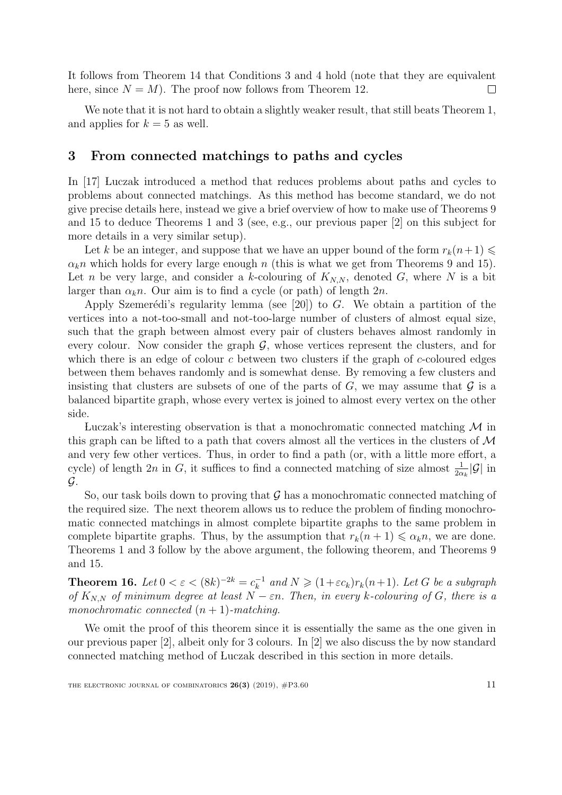It follows from Theorem [14](#page-8-0) that Conditions [3](#page-7-2) and [4](#page-7-3) hold (note that they are equivalent here, since  $N = M$ ). The proof now follows from Theorem [12.](#page-7-4)  $\Box$ 

We note that it is not hard to obtain a slightly weaker result, that still beats Theorem [1,](#page-1-0) and applies for  $k = 5$  as well.

### <span id="page-10-0"></span>3 From connected matchings to paths and cycles

In [\[17\]](#page-14-4) Luczak introduced a method that reduces problems about paths and cycles to problems about connected matchings. As this method has become standard, we do not give precise details here, instead we give a brief overview of how to make use of Theorems [9](#page-5-2) and [15](#page-9-0) to deduce Theorems [1](#page-1-0) and [3](#page-2-2) (see, e.g., our previous paper [\[2\]](#page-13-3) on this subject for more details in a very similar setup).

Let k be an integer, and suppose that we have an upper bound of the form  $r_k(n+1) \leq$  $\alpha_k$ n which holds for every large enough n (this is what we get from Theorems [9](#page-5-2) and [15\)](#page-9-0). Let n be very large, and consider a k-colouring of  $K_{N,N}$ , denoted G, where N is a bit larger than  $\alpha_k n$ . Our aim is to find a cycle (or path) of length  $2n$ .

Apply Szemerédi's regularity lemma (see [\[20\]](#page-14-18)) to G. We obtain a partition of the vertices into a not-too-small and not-too-large number of clusters of almost equal size, such that the graph between almost every pair of clusters behaves almost randomly in every colour. Now consider the graph  $\mathcal{G}$ , whose vertices represent the clusters, and for which there is an edge of colour c between two clusters if the graph of c-coloured edges between them behaves randomly and is somewhat dense. By removing a few clusters and insisting that clusters are subsets of one of the parts of  $G$ , we may assume that  $\mathcal G$  is a balanced bipartite graph, whose every vertex is joined to almost every vertex on the other side.

Luczak's interesting observation is that a monochromatic connected matching  $\mathcal M$  in this graph can be lifted to a path that covers almost all the vertices in the clusters of  $\mathcal M$ and very few other vertices. Thus, in order to find a path (or, with a little more effort, a cycle) of length  $2n$  in G, it suffices to find a connected matching of size almost  $\frac{1}{2\alpha_k}|\mathcal{G}|$  in  $\mathcal{G}$ .

So, our task boils down to proving that  $\mathcal G$  has a monochromatic connected matching of the required size. The next theorem allows us to reduce the problem of finding monochromatic connected matchings in almost complete bipartite graphs to the same problem in complete bipartite graphs. Thus, by the assumption that  $r_k(n+1) \leq \alpha_k n$ , we are done. Theorems [1](#page-1-0) and [3](#page-2-2) follow by the above argument, the following theorem, and Theorems [9](#page-5-2) and [15.](#page-9-0)

<span id="page-10-1"></span>**Theorem 16.** Let  $0 < \varepsilon < (8k)^{-2k} = c_k^{-1}$  $k_k^{-1}$  and  $N \geq (1 + \varepsilon c_k) r_k(n+1)$ . Let G be a subgraph of  $K_{N,N}$  of minimum degree at least  $N - \varepsilon n$ . Then, in every k-colouring of G, there is a monochromatic connected  $(n + 1)$ -matching.

We omit the proof of this theorem since it is essentially the same as the one given in our previous paper [\[2\]](#page-13-3), albeit only for 3 colours. In [\[2\]](#page-13-3) we also discuss the by now standard connected matching method of Luczak described in this section in more details.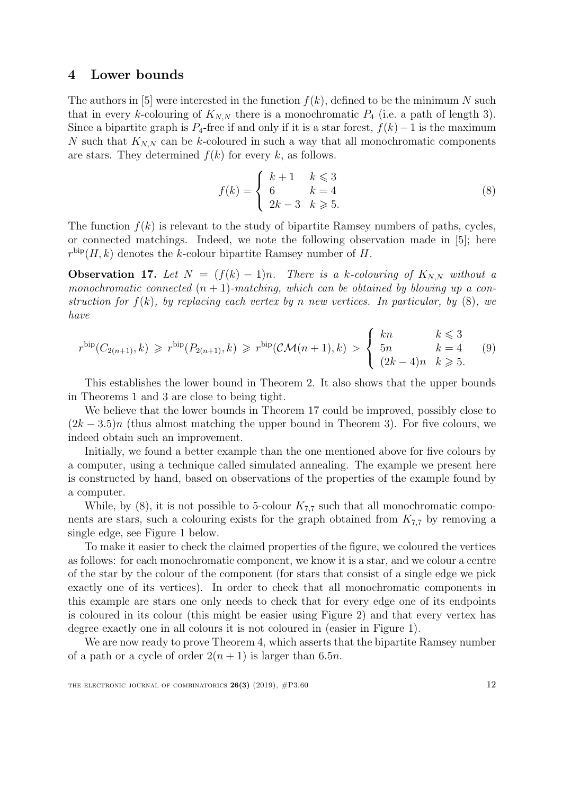### <span id="page-11-1"></span>4 Lower bounds

The authors in [\[5\]](#page-14-17) were interested in the function  $f(k)$ , defined to be the minimum N such that in every k-colouring of  $K_{N,N}$  there is a monochromatic  $P_4$  (i.e. a path of length 3). Since a bipartite graph is  $P_4$ -free if and only if it is a star forest,  $f(k)-1$  is the maximum N such that  $K_{N,N}$  can be k-coloured in such a way that all monochromatic components are stars. They determined  $f(k)$  for every k, as follows.

<span id="page-11-3"></span><span id="page-11-2"></span>
$$
f(k) = \begin{cases} k+1 & k \le 3\\ 6 & k = 4\\ 2k-3 & k \ge 5. \end{cases}
$$
 (8)

The function  $f(k)$  is relevant to the study of bipartite Ramsey numbers of paths, cycles, or connected matchings. Indeed, we note the following observation made in [\[5\]](#page-14-17); here  $r^{\text{bip}}(H, k)$  denotes the k-colour bipartite Ramsey number of H.

<span id="page-11-0"></span>**Observation 17.** Let  $N = (f(k) - 1)n$ . There is a k-colouring of  $K_{N,N}$  without a monochromatic connected  $(n + 1)$ -matching, which can be obtained by blowing up a construction for  $f(k)$ , by replacing each vertex by n new vertices. In particular, by  $(8)$ , we have

$$
r^{\text{bip}}(C_{2(n+1)},k) \geq r^{\text{bip}}(P_{2(n+1)},k) \geq r^{\text{bip}}(\mathcal{CM}(n+1),k) > \begin{cases} kn & k \leq 3\\ 5n & k=4\\ (2k-4)n & k \geq 5. \end{cases}
$$
(9)

This establishes the lower bound in Theorem [2.](#page-1-1) It also shows that the upper bounds in Theorems [1](#page-1-0) and [3](#page-2-2) are close to being tight.

We believe that the lower bounds in Theorem [17](#page-11-0) could be improved, possibly close to  $(2k-3.5)n$  (thus almost matching the upper bound in Theorem [3\)](#page-2-2). For five colours, we indeed obtain such an improvement.

Initially, we found a better example than the one mentioned above for five colours by a computer, using a technique called simulated annealing. The example we present here is constructed by hand, based on observations of the properties of the example found by a computer.

While, by  $(8)$ , it is not possible to 5-colour  $K_{7,7}$  such that all monochromatic components are stars, such a colouring exists for the graph obtained from  $K_{7,7}$  by removing a single edge, see Figure [1](#page-12-1) below.

To make it easier to check the claimed properties of the figure, we coloured the vertices as follows: for each monochromatic component, we know it is a star, and we colour a centre of the star by the colour of the component (for stars that consist of a single edge we pick exactly one of its vertices). In order to check that all monochromatic components in this example are stars one only needs to check that for every edge one of its endpoints is coloured in its colour (this might be easier using Figure [2\)](#page-13-4) and that every vertex has degree exactly one in all colours it is not coloured in (easier in Figure [1\)](#page-12-1).

We are now ready to prove Theorem [4,](#page-2-1) which asserts that the bipartite Ramsey number of a path or a cycle of order  $2(n + 1)$  is larger than 6.5*n*.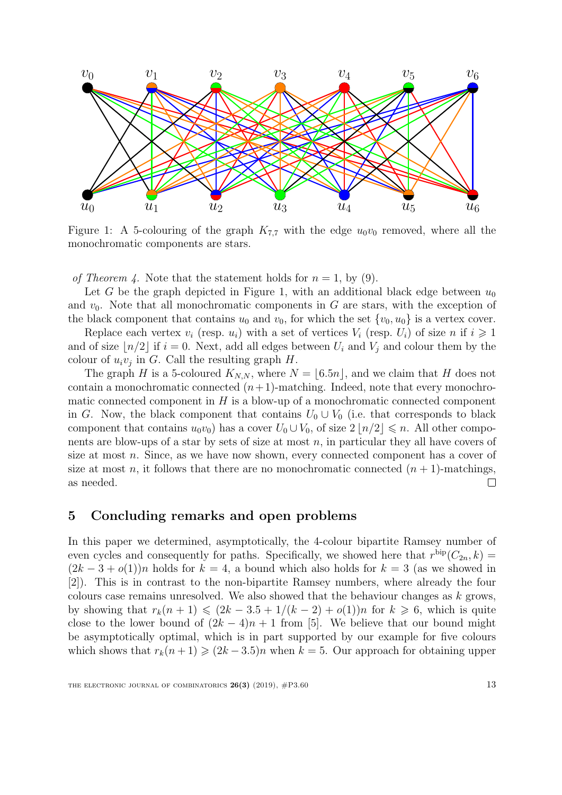<span id="page-12-1"></span>

Figure 1: A 5-colouring of the graph  $K_{7,7}$  with the edge  $u_0v_0$  removed, where all the monochromatic components are stars.

of Theorem [4.](#page-2-1) Note that the statement holds for  $n = 1$ , by [\(9\)](#page-11-3).

Let G be the graph depicted in Figure [1,](#page-12-1) with an additional black edge between  $u_0$ and  $v_0$ . Note that all monochromatic components in G are stars, with the exception of the black component that contains  $u_0$  and  $v_0$ , for which the set  $\{v_0, u_0\}$  is a vertex cover.

Replace each vertex  $v_i$  (resp.  $u_i$ ) with a set of vertices  $V_i$  (resp.  $U_i$ ) of size n if  $i \geqslant 1$ and of size  $\lfloor n/2 \rfloor$  if  $i = 0$ . Next, add all edges between  $U_i$  and  $V_j$  and colour them by the colour of  $u_i v_j$  in G. Call the resulting graph H.

The graph H is a 5-coloured  $K_{N,N}$ , where  $N = \lfloor 6.5n \rfloor$ , and we claim that H does not contain a monochromatic connected  $(n+1)$ -matching. Indeed, note that every monochromatic connected component in  $H$  is a blow-up of a monochromatic connected component in G. Now, the black component that contains  $U_0 \cup V_0$  (i.e. that corresponds to black component that contains  $u_0v_0$  has a cover  $U_0 \cup V_0$ , of size  $2 |n/2| \leq n$ . All other components are blow-ups of a star by sets of size at most  $n$ , in particular they all have covers of size at most  $n$ . Since, as we have now shown, every connected component has a cover of size at most n, it follows that there are no monochromatic connected  $(n + 1)$ -matchings, as needed.  $\Box$ 

### <span id="page-12-0"></span>5 Concluding remarks and open problems

In this paper we determined, asymptotically, the 4-colour bipartite Ramsey number of even cycles and consequently for paths. Specifically, we showed here that  $r^{\text{bip}}(C_{2n}, k) =$  $(2k-3+o(1))n$  holds for  $k=4$ , a bound which also holds for  $k=3$  (as we showed in [\[2\]](#page-13-3)). This is in contrast to the non-bipartite Ramsey numbers, where already the four colours case remains unresolved. We also showed that the behaviour changes as  $k$  grows, by showing that  $r_k(n+1) \leq (2k-3.5+1/(k-2)+o(1))n$  for  $k \geq 6$ , which is quite close to the lower bound of  $(2k-4)n + 1$  from [\[5\]](#page-14-17). We believe that our bound might be asymptotically optimal, which is in part supported by our example for five colours which shows that  $r_k(n+1) \geq (2k-3.5)n$  when  $k=5$ . Our approach for obtaining upper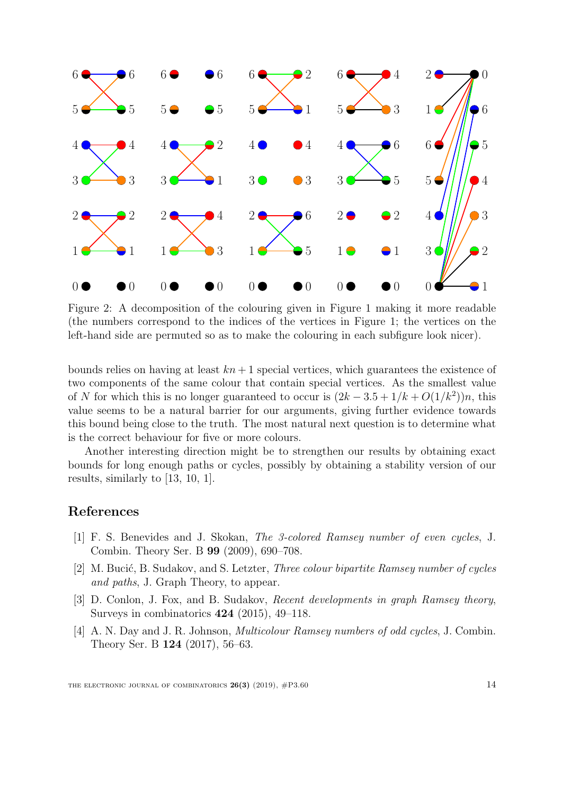<span id="page-13-4"></span>

Figure 2: A decomposition of the colouring given in Figure [1](#page-12-1) making it more readable (the numbers correspond to the indices of the vertices in Figure [1;](#page-12-1) the vertices on the left-hand side are permuted so as to make the colouring in each subfigure look nicer).

bounds relies on having at least  $kn + 1$  special vertices, which guarantees the existence of two components of the same colour that contain special vertices. As the smallest value of N for which this is no longer guaranteed to occur is  $(2k-3.5+1/k+O(1/k^2))n$ , this value seems to be a natural barrier for our arguments, giving further evidence towards this bound being close to the truth. The most natural next question is to determine what is the correct behaviour for five or more colours.

Another interesting direction might be to strengthen our results by obtaining exact bounds for long enough paths or cycles, possibly by obtaining a stability version of our results, similarly to [\[13,](#page-14-5) [10,](#page-14-6) [1\]](#page-13-0).

## References

- <span id="page-13-0"></span>[1] F. S. Benevides and J. Skokan, The 3-colored Ramsey number of even cycles, J. Combin. Theory Ser. B 99 (2009), 690–708.
- <span id="page-13-3"></span>[2] M. Bucić, B. Sudakov, and S. Letzter, *Three colour bipartite Ramsey number of cycles* and paths, J. Graph Theory, to appear.
- <span id="page-13-2"></span>[3] D. Conlon, J. Fox, and B. Sudakov, *Recent developments in graph Ramsey theory*, Surveys in combinatorics 424 (2015), 49–118.
- <span id="page-13-1"></span>[4] A. N. Day and J. R. Johnson, *Multicolour Ramsey numbers of odd cycles*, J. Combin. Theory Ser. B 124 (2017), 56–63.